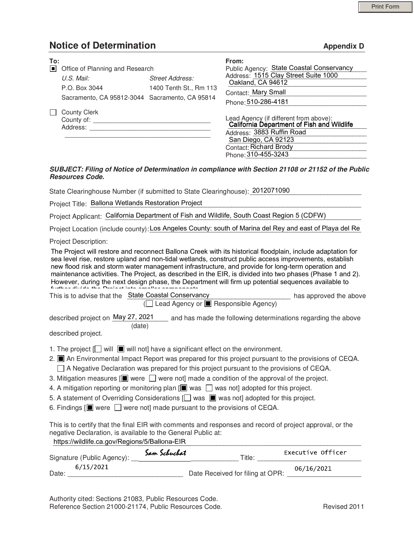## Notice of Determination and appendix D

| To: | □ Office of Planning and Research<br>$U.S.$ Mail:<br>P.O. Box 3044<br>Sacramento, CA 95812-3044 Sacramento, CA 95814 | <b>Street Address:</b><br>1400 Tenth St., Rm 113 | From:<br>Public Agency: State Coastal Conservancy<br>Address: 1515 Clay Street Suite 1000<br>Oakland, CA 94612<br>Contact: Mary Small<br>Phone: 510-286-4181                                     |
|-----|----------------------------------------------------------------------------------------------------------------------|--------------------------------------------------|--------------------------------------------------------------------------------------------------------------------------------------------------------------------------------------------------|
|     | <b>County Clerk</b><br>County of:<br>Address:                                                                        |                                                  | Lead Agency (if different from above):<br>California Department of Fish and Wildlife<br>Address: 3883 Ruffin Road<br>San Diego, CA 92123<br><b>Contact: Richard Brody</b><br>Phone: 310-455-3243 |

### SUBJECT: Filing of Notice of Determination in compliance with Section 21108 or 21152 of the Public Resources Code.

State Clearinghouse Number (if submitted to State Clearinghouse): 2012071090

| Project Title: Ballona Wetlands Restoration Project |
|-----------------------------------------------------|
|                                                     |

Project Applicant: California Department of Fish and Wildlife, South Coast Region 5 (CDFW)

Project Location (include county): Los Angeles County: south of Marina del Rey and east of Playa del Re

Project Description:

The Project will restore and reconnect Ballona Creek with its historical floodplain, include adaptation for sea level rise, restore upland and non-tidal wetlands, construct public access improvements, establish new flood risk and storm water management infrastructure, and provide for long-term operation and maintenance activities. The Project, as described in the EIR, is divided into two phases (Phase 1 and 2). However, during the next design phase, the Department will firm up potential sequences available to further divide the Project into smaller components.

| This is to advise that the State Coastal Conservancy | has approved the above |
|------------------------------------------------------|------------------------|
| $\Box$ Lead Agency or $\Box$ Responsible Agency)     |                        |

described project on May 27, 2021 <sub>cand</sub> has made the following determinations regarding the above (date)

described project.

- 1. The project  $\Box$  will  $\Box$  will not] have a significant effect on the environment.
- 2. An Environmental Impact Report was prepared for this project pursuant to the provisions of CEQA.
- $\Box$  A Negative Declaration was prepared for this project pursuant to the provisions of CEQA.
- 3. Mitigation measures  $[\blacksquare]$  were  $\Box$  were not] made a condition of the approval of the project.
- 4. A mitigation reporting or monitoring plan  $[\blacksquare]$  was  $\Box$  was not] adopted for this project.
- 5. A statement of Overriding Considerations  $\Box$  was  $\Box$  was not] adopted for this project.
- 6. Findings  $[\blacksquare]$  were  $\Box$  were not] made pursuant to the provisions of CEQA.

https://wildlife.ca.gov/Regions/5/Ballona-EIR This is to certify that the final EIR with comments and responses and record of project approval, or the negative Declaration, is available to the General Public at:

| Signature (Public Agency): | Sam Schuchat | Executive Officer<br>Title:                    |
|----------------------------|--------------|------------------------------------------------|
| 6/15/2021<br>Date:         |              | 06/16/2021<br>Date Received for filing at OPR: |

Authority cited: Sections 21083, Public Resources Code. Reference Section 21000-21174, Public Resources Code. The Contract Revised 2011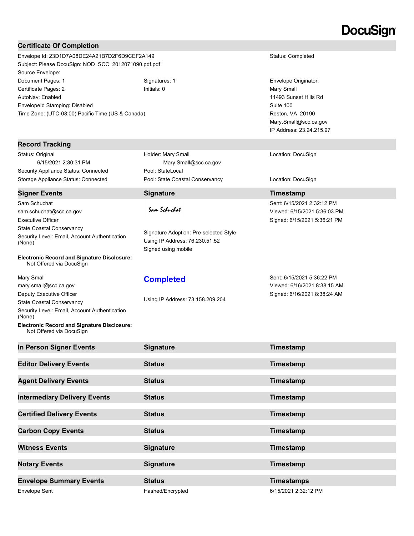# DocuSian

### Certificate Of Completion

Envelope Id: 23D1D7A08DE24A21B7D2F6D9CEF2A149 Status: Completed Subject: Please DocuSign: NOD\_SCC\_2012071090.pdf.pdf Source Envelope: Document Pages: 1 **Signatures: 1** Signatures: 1 **Signatures: 1** Envelope Originator: Certificate Pages: 2 **Initials: 0** Initials: 0 **Initials: 0** Mary Small AutoNav: Enabled EnvelopeId Stamping: Disabled Time Zone: (UTC-08:00) Pacific Time (US & Canada)

#### Record Tracking

Status: Original Security Appliance Status: Connected Pool: StateLocal Storage Appliance Status: Connected Pool: State Coastal Conservancy Location: DocuSign

#### Signer Events **Signature Signature Timestamp**

Sam Schuchat sam.schuchat@scc.ca.gov Executive Officer State Coastal Conservancy Security Level: Email, Account Authentication (None)

Electronic Record and Signature Disclosure: Not Offered via DocuSign

Mary Small mary.small@scc.ca.gov Deputy Executive Officer State Coastal Conservancy Security Level: Email, Account Authentication (None) Electronic Record and Signature Disclosure:

Not Offered via DocuSign

6/15/2021 2:30:31 PM Mary.Small@scc.ca.gov Holder: Mary Small

Signature Adoption: Pre-selected Style Using IP Address: 76.230.51.52 Signed using mobile

### **Completed**

Using IP Address: 73.158.209.204

11493 Sunset Hills Rd Suite 100 Reston, VA 20190 Mary.Small@scc.ca.gov IP Address: 23.24.215.97

Location: DocuSign

Sent: 6/15/2021 2:32:12 PM Viewed: 6/15/2021 5:36:03 PM Signed: 6/15/2021 5:36:21 PM

Sent: 6/15/2021 5:36:22 PM Viewed: 6/16/2021 8:38:15 AM Signed: 6/16/2021 8:38:24 AM

| In Person Signer Events             | <b>Signature</b> | Timestamp            |
|-------------------------------------|------------------|----------------------|
| <b>Editor Delivery Events</b>       | <b>Status</b>    | Timestamp            |
| <b>Agent Delivery Events</b>        | <b>Status</b>    | Timestamp            |
| <b>Intermediary Delivery Events</b> | <b>Status</b>    | Timestamp            |
| <b>Certified Delivery Events</b>    | <b>Status</b>    | Timestamp            |
| <b>Carbon Copy Events</b>           | <b>Status</b>    | Timestamp            |
| <b>Witness Events</b>               | <b>Signature</b> | Timestamp            |
| <b>Notary Events</b>                | <b>Signature</b> | Timestamp            |
| <b>Envelope Summary Events</b>      | <b>Status</b>    | <b>Timestamps</b>    |
| <b>Envelope Sent</b>                | Hashed/Encrypted | 6/15/2021 2:32:12 PM |